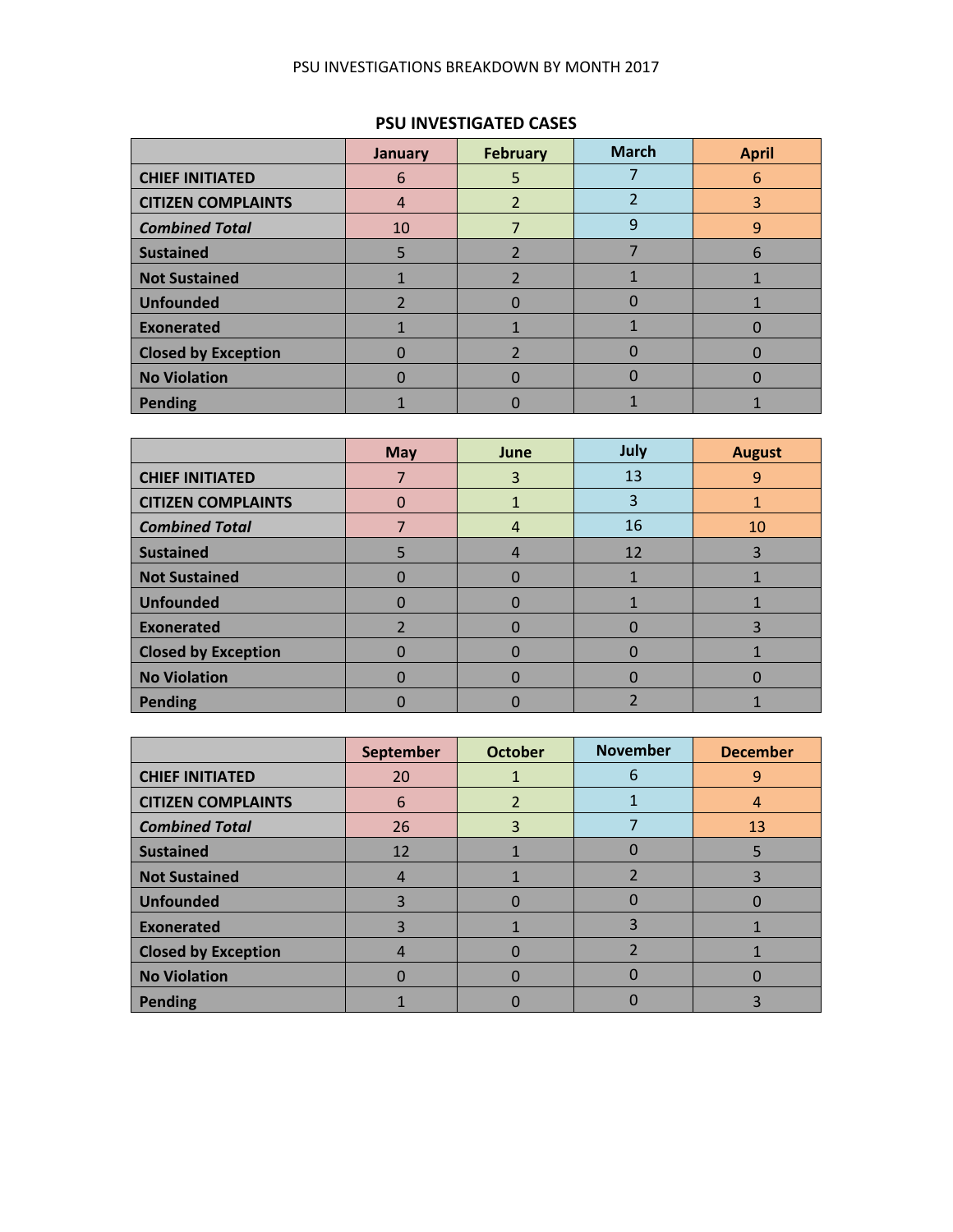#### PSU INVESTIGATIONS BREAKDOWN BY MONTH 2017

### **PSU INVESTIGATED CASES**

|                            | January | <b>February</b> | <b>March</b> | <b>April</b> |
|----------------------------|---------|-----------------|--------------|--------------|
| <b>CHIEF INITIATED</b>     | 6       |                 |              | 6            |
| <b>CITIZEN COMPLAINTS</b>  | 4       |                 |              | 3            |
| <b>Combined Total</b>      | 10      |                 | 9            | 9            |
| <b>Sustained</b>           |         |                 |              | 6            |
| Not Sustained              |         |                 |              |              |
| <b>Unfounded</b>           |         |                 |              |              |
| Exonerated                 |         |                 |              |              |
| <b>Closed by Exception</b> |         |                 |              |              |
| No Violation               |         |                 |              |              |
| Pending                    |         |                 |              |              |

|                            | <b>May</b> | June | July | <b>August</b> |
|----------------------------|------------|------|------|---------------|
| <b>CHIEF INITIATED</b>     |            | 3    | 13   | 9             |
| <b>CITIZEN COMPLAINTS</b>  | 0          |      | 3    |               |
| <b>Combined Total</b>      |            | 4    | 16   | 10            |
| <b>Sustained</b>           |            | 4    | 12   | 3             |
| <b>Not Sustained</b>       | 0          |      |      |               |
| <b>Unfounded</b>           | 0          |      |      |               |
| <b>Exonerated</b>          |            |      |      | 3             |
| <b>Closed by Exception</b> | 0          |      |      |               |
| <b>No Violation</b>        | 0          |      |      |               |
| <b>Pending</b>             |            |      |      |               |

|                            | September | <b>October</b> | <b>November</b> | <b>December</b> |
|----------------------------|-----------|----------------|-----------------|-----------------|
| <b>CHIEF INITIATED</b>     | 20        |                | 6               | 9               |
| <b>CITIZEN COMPLAINTS</b>  | 6         | $\mathfrak{p}$ |                 | 4               |
| <b>Combined Total</b>      | 26        | 3              |                 | 13              |
| <b>Sustained</b>           | 12        |                |                 | 5               |
| <b>Not Sustained</b>       | 4         |                |                 | 3               |
| <b>Unfounded</b>           |           |                |                 |                 |
| <b>Exonerated</b>          |           |                | 3               |                 |
| <b>Closed by Exception</b> |           |                |                 |                 |
| <b>No Violation</b>        |           |                |                 |                 |
| <b>Pending</b>             |           |                |                 |                 |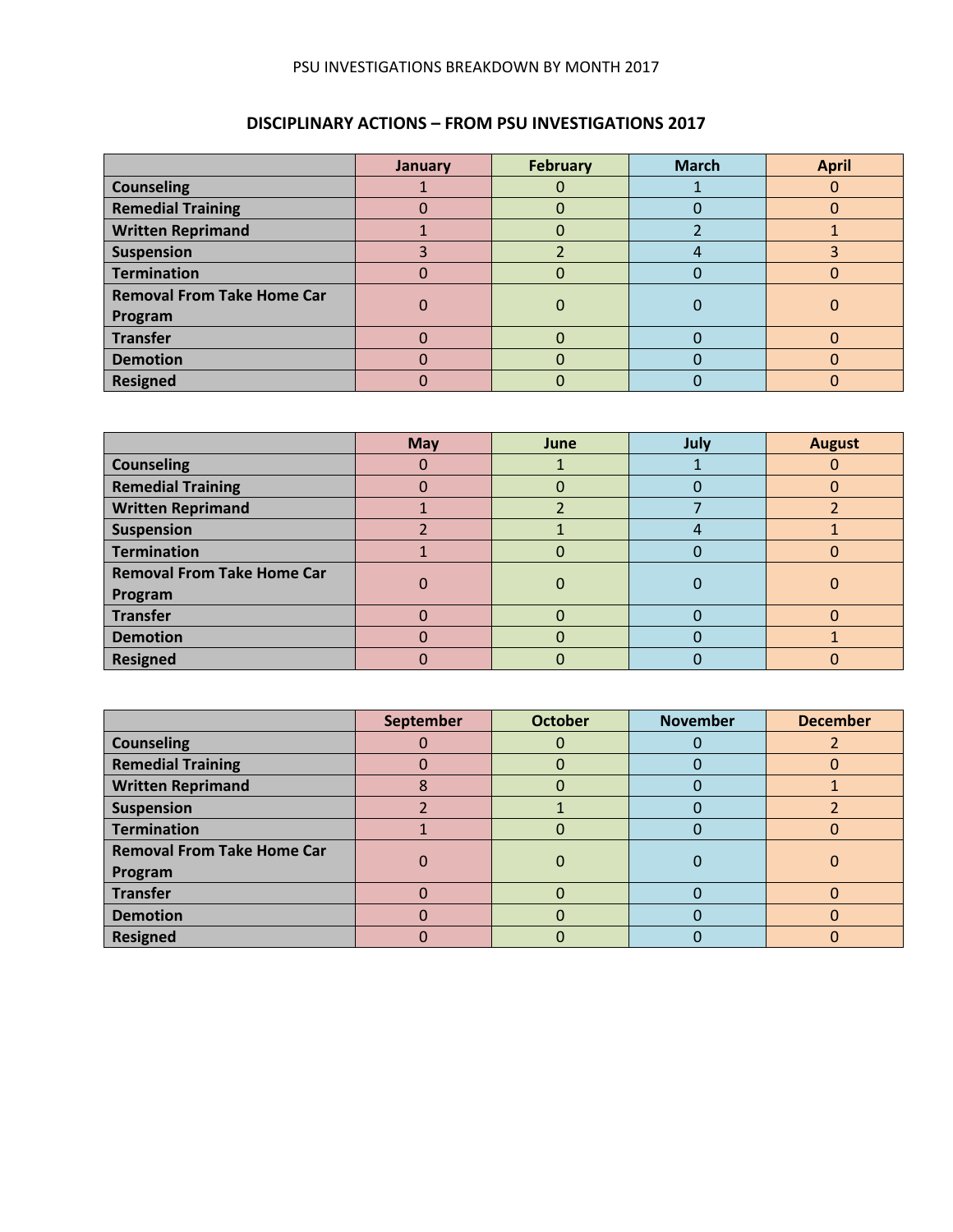#### PSU INVESTIGATIONS BREAKDOWN BY MONTH 2017

## **DISCIPLINARY ACTIONS – FROM PSU INVESTIGATIONS 2017**

|                                   | January | <b>February</b> | <b>March</b> | <b>April</b> |
|-----------------------------------|---------|-----------------|--------------|--------------|
| <b>Counseling</b>                 |         |                 |              |              |
| <b>Remedial Training</b>          |         | U               |              |              |
| <b>Written Reprimand</b>          |         |                 |              |              |
| Suspension                        |         |                 |              |              |
| <b>Termination</b>                |         |                 |              |              |
| <b>Removal From Take Home Car</b> |         |                 |              |              |
| Program                           |         |                 |              |              |
| <b>Transfer</b>                   |         |                 |              |              |
| <b>Demotion</b>                   |         |                 |              |              |
| <b>Resigned</b>                   |         |                 |              |              |

|                                   | <b>May</b> | June | July | <b>August</b> |
|-----------------------------------|------------|------|------|---------------|
| <b>Counseling</b>                 |            |      |      |               |
| <b>Remedial Training</b>          | 0          | O    |      |               |
| <b>Written Reprimand</b>          |            |      |      |               |
| <b>Suspension</b>                 |            |      |      |               |
| <b>Termination</b>                |            | O    |      |               |
| <b>Removal From Take Home Car</b> |            | 0    |      |               |
| Program                           |            |      |      |               |
| <b>Transfer</b>                   |            |      |      |               |
| <b>Demotion</b>                   |            | 0    |      |               |
| <b>Resigned</b>                   |            |      |      |               |

|                                   | September | <b>October</b> | <b>November</b> | <b>December</b> |
|-----------------------------------|-----------|----------------|-----------------|-----------------|
| <b>Counseling</b>                 |           |                |                 |                 |
| <b>Remedial Training</b>          |           | $\mathbf{O}$   |                 | υ               |
| <b>Written Reprimand</b>          |           | 0              |                 |                 |
| <b>Suspension</b>                 |           |                |                 |                 |
| <b>Termination</b>                |           | O              |                 | O               |
| <b>Removal From Take Home Car</b> |           | $\mathbf 0$    |                 |                 |
| Program                           |           |                |                 |                 |
| <b>Transfer</b>                   |           | 0              |                 |                 |
| <b>Demotion</b>                   |           | 0              |                 | O               |
| <b>Resigned</b>                   |           |                |                 |                 |